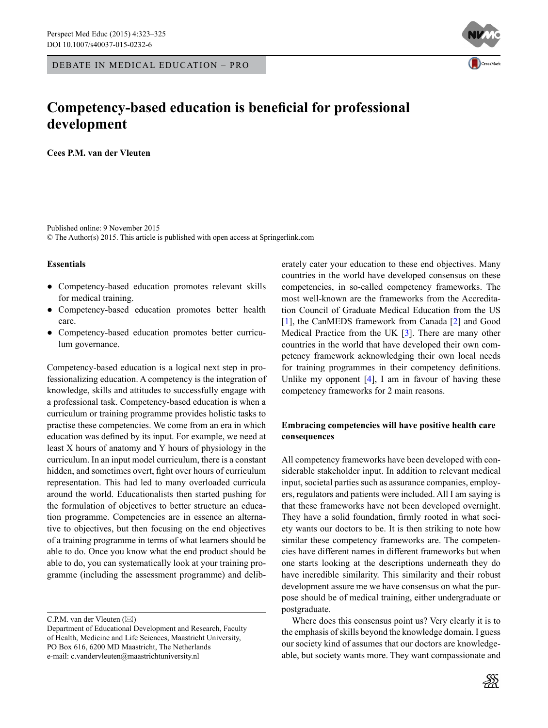Debate in Medical Education – PRO



# **Competency-based education is beneficial for professional development**

**Cees P.M. van der Vleuten**

Published online: 9 November 2015 © The Author(s) 2015. This article is published with open access at Springerlink.com

### **Essentials**

- Competency-based education promotes relevant skills for medical training.
- Competency-based education promotes better health care.
- Competency-based education promotes better curriculum governance.

Competency-based education is a logical next step in professionalizing education. A competency is the integration of knowledge, skills and attitudes to successfully engage with a professional task. Competency-based education is when a curriculum or training programme provides holistic tasks to practise these competencies. We come from an era in which education was defined by its input. For example, we need at least X hours of anatomy and Y hours of physiology in the curriculum. In an input model curriculum, there is a constant hidden, and sometimes overt, fight over hours of curriculum representation. This had led to many overloaded curricula around the world. Educationalists then started pushing for the formulation of objectives to better structure an education programme. Competencies are in essence an alternative to objectives, but then focusing on the end objectives of a training programme in terms of what learners should be able to do. Once you know what the end product should be able to do, you can systematically look at your training programme (including the assessment programme) and delib-

C.P.M. van der Vleuten  $(\boxtimes)$ 

erately cater your education to these end objectives. Many countries in the world have developed consensus on these competencies, in so-called competency frameworks. The most well-known are the frameworks from the Accreditation Council of Graduate Medical Education from the US [\[1](#page-2-0)], the CanMEDS framework from Canada [[2\]](#page-2-1) and Good Medical Practice from the UK [[3\]](#page-2-2). There are many other countries in the world that have developed their own competency framework acknowledging their own local needs for training programmes in their competency definitions. Unlike my opponent  $[4]$  $[4]$ , I am in favour of having these competency frameworks for 2 main reasons.

# **Embracing competencies will have positive health care consequences**

All competency frameworks have been developed with considerable stakeholder input. In addition to relevant medical input, societal parties such as assurance companies, employers, regulators and patients were included. All I am saying is that these frameworks have not been developed overnight. They have a solid foundation, firmly rooted in what society wants our doctors to be. It is then striking to note how similar these competency frameworks are. The competencies have different names in different frameworks but when one starts looking at the descriptions underneath they do have incredible similarity. This similarity and their robust development assure me we have consensus on what the purpose should be of medical training, either undergraduate or postgraduate.

Where does this consensus point us? Very clearly it is to the emphasis of skills beyond the knowledge domain. I guess our society kind of assumes that our doctors are knowledgeable, but society wants more. They want compassionate and

Department of Educational Development and Research, Faculty of Health, Medicine and Life Sciences, Maastricht University, PO Box 616, 6200 MD Maastricht, The Netherlands e-mail: c.vandervleuten@maastrichtuniversity.nl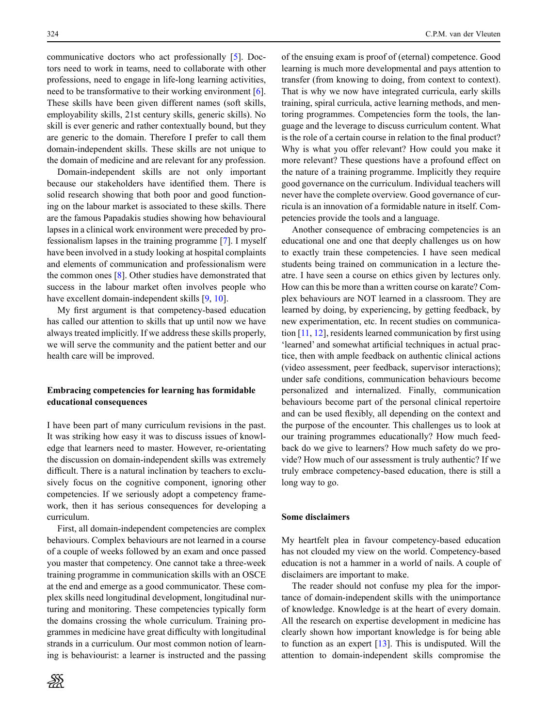communicative doctors who act professionally [[5\]](#page-2-4). Doctors need to work in teams, need to collaborate with other professions, need to engage in life-long learning activities, need to be transformative to their working environment [\[6](#page-2-5)]. These skills have been given different names (soft skills, employability skills, 21st century skills, generic skills). No skill is ever generic and rather contextually bound, but they are generic to the domain. Therefore I prefer to call them domain-independent skills. These skills are not unique to the domain of medicine and are relevant for any profession.

Domain-independent skills are not only important because our stakeholders have identified them. There is solid research showing that both poor and good functioning on the labour market is associated to these skills. There are the famous Papadakis studies showing how behavioural lapses in a clinical work environment were preceded by professionalism lapses in the training programme [\[7](#page-2-6)]. I myself have been involved in a study looking at hospital complaints and elements of communication and professionalism were the common ones [\[8](#page-2-7)]. Other studies have demonstrated that success in the labour market often involves people who have excellent domain-independent skills [[9,](#page-2-8) [10\]](#page-2-9).

My first argument is that competency-based education has called our attention to skills that up until now we have always treated implicitly. If we address these skills properly, we will serve the community and the patient better and our health care will be improved.

# **Embracing competencies for learning has formidable educational consequences**

I have been part of many curriculum revisions in the past. It was striking how easy it was to discuss issues of knowledge that learners need to master. However, re-orientating the discussion on domain-independent skills was extremely difficult. There is a natural inclination by teachers to exclusively focus on the cognitive component, ignoring other competencies. If we seriously adopt a competency framework, then it has serious consequences for developing a curriculum.

First, all domain-independent competencies are complex behaviours. Complex behaviours are not learned in a course of a couple of weeks followed by an exam and once passed you master that competency. One cannot take a three-week training programme in communication skills with an OSCE at the end and emerge as a good communicator. These complex skills need longitudinal development, longitudinal nurturing and monitoring. These competencies typically form the domains crossing the whole curriculum. Training programmes in medicine have great difficulty with longitudinal strands in a curriculum. Our most common notion of learning is behaviourist: a learner is instructed and the passing



of the ensuing exam is proof of (eternal) competence. Good learning is much more developmental and pays attention to transfer (from knowing to doing, from context to context). That is why we now have integrated curricula, early skills training, spiral curricula, active learning methods, and mentoring programmes. Competencies form the tools, the language and the leverage to discuss curriculum content. What is the role of a certain course in relation to the final product? Why is what you offer relevant? How could you make it more relevant? These questions have a profound effect on the nature of a training programme. Implicitly they require good governance on the curriculum. Individual teachers will never have the complete overview. Good governance of curricula is an innovation of a formidable nature in itself. Competencies provide the tools and a language.

Another consequence of embracing competencies is an educational one and one that deeply challenges us on how to exactly train these competencies. I have seen medical students being trained on communication in a lecture theatre. I have seen a course on ethics given by lectures only. How can this be more than a written course on karate? Complex behaviours are NOT learned in a classroom. They are learned by doing, by experiencing, by getting feedback, by new experimentation, etc. In recent studies on communication [\[11,](#page-2-10) [12](#page-2-11)], residents learned communication by first using 'learned' and somewhat artificial techniques in actual practice, then with ample feedback on authentic clinical actions (video assessment, peer feedback, supervisor interactions); under safe conditions, communication behaviours become personalized and internalized. Finally, communication behaviours become part of the personal clinical repertoire and can be used flexibly, all depending on the context and the purpose of the encounter. This challenges us to look at our training programmes educationally? How much feedback do we give to learners? How much safety do we provide? How much of our assessment is truly authentic? If we truly embrace competency-based education, there is still a long way to go.

#### **Some disclaimers**

My heartfelt plea in favour competency-based education has not clouded my view on the world. Competency-based education is not a hammer in a world of nails. A couple of disclaimers are important to make.

The reader should not confuse my plea for the importance of domain-independent skills with the unimportance of knowledge. Knowledge is at the heart of every domain. All the research on expertise development in medicine has clearly shown how important knowledge is for being able to function as an expert [[13\]](#page-2-12). This is undisputed. Will the attention to domain-independent skills compromise the